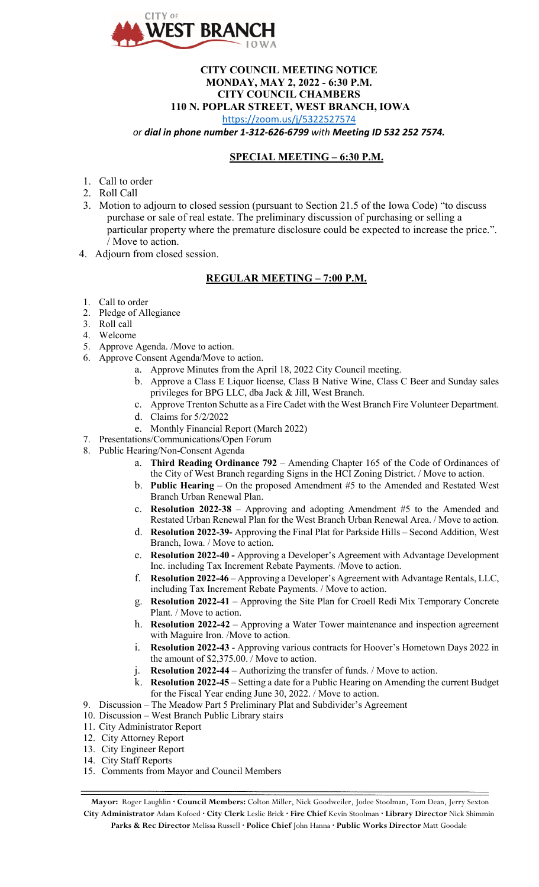

## **CITY COUNCIL MEETING NOTICE MONDAY, MAY 2, 2022 - 6:30 P.M. CITY COUNCIL CHAMBERS 110 N. POPLAR STREET, WEST BRANCH, IOWA**

<https://zoom.us/j/5322527574>

*or dial in phone number 1-312-626-6799 with Meeting ID 532 252 7574.*

## **SPECIAL MEETING – 6:30 P.M.**

- 1. Call to order
- 2. Roll Call
- 3. Motion to adjourn to closed session (pursuant to Section 21.5 of the Iowa Code) "to discuss purchase or sale of real estate. The preliminary discussion of purchasing or selling a particular property where the premature disclosure could be expected to increase the price.". / Move to action.
- 4. Adjourn from closed session.

## **REGULAR MEETING – 7:00 P.M.**

- 1. Call to order
- 2. Pledge of Allegiance
- 3. Roll call
- 4. Welcome
- 5. Approve Agenda. /Move to action.
- 6. Approve Consent Agenda/Move to action.
	- a. Approve Minutes from the April 18, 2022 City Council meeting.
	- b. Approve a Class E Liquor license, Class B Native Wine, Class C Beer and Sunday sales privileges for BPG LLC, dba Jack & Jill, West Branch.
	- c. Approve Trenton Schutte as a Fire Cadet with the West Branch Fire Volunteer Department. d. Claims for 5/2/2022
	- e. Monthly Financial Report (March 2022)
- 7. Presentations/Communications/Open Forum
- 8. Public Hearing/Non-Consent Agenda
	- a. **Third Reading Ordinance 792** Amending Chapter 165 of the Code of Ordinances of the City of West Branch regarding Signs in the HCI Zoning District. / Move to action.
	- b. **Public Hearing** On the proposed Amendment #5 to the Amended and Restated West Branch Urban Renewal Plan.
	- c. **Resolution 2022-38** Approving and adopting Amendment #5 to the Amended and Restated Urban Renewal Plan for the West Branch Urban Renewal Area. / Move to action.
	- d. **Resolution 2022-39-** Approving the Final Plat for Parkside Hills Second Addition, West Branch, Iowa. / Move to action.
	- e. **Resolution 2022-40 -** Approving a Developer's Agreement with Advantage Development Inc. including Tax Increment Rebate Payments. /Move to action.
	- f. **Resolution 2022-46** Approving a Developer's Agreement with Advantage Rentals, LLC, including Tax Increment Rebate Payments. / Move to action.
	- g. **Resolution 2022-41** Approving the Site Plan for Croell Redi Mix Temporary Concrete Plant. / Move to action.
	- h. **Resolution 2022-42** Approving a Water Tower maintenance and inspection agreement with Maguire Iron. /Move to action.
	- i. **Resolution 2022-43** Approving various contracts for Hoover's Hometown Days 2022 in the amount of \$2,375.00. / Move to action.
	- j. **Resolution 2022-44** Authorizing the transfer of funds. / Move to action.
	- k. **Resolution 2022-45** Setting a date for a Public Hearing on Amending the current Budget for the Fiscal Year ending June 30, 2022. / Move to action.
- 9. Discussion The Meadow Part 5 Preliminary Plat and Subdivider's Agreement
- 10. Discussion West Branch Public Library stairs
- 11. City Administrator Report
- 12. City Attorney Report
- 13. City Engineer Report
- 14. City Staff Reports
- 15. Comments from Mayor and Council Members

**Mayor:** Roger Laughlin **· Council Members:** Colton Miller, Nick Goodweiler, Jodee Stoolman, Tom Dean, Jerry Sexton **City Administrator** Adam Kofoed **· City Clerk** Leslie Brick **· Fire Chief** Kevin Stoolman **· Library Director** Nick Shimmin **Parks & Rec Director** Melissa Russell **· Police Chief** John Hanna **· Public Works Director** Matt Goodale